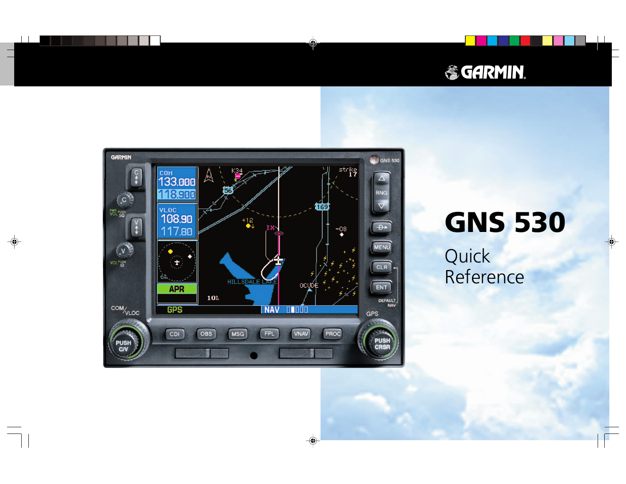# **& GARMIN.**



# **GNS 530**

Quick Reference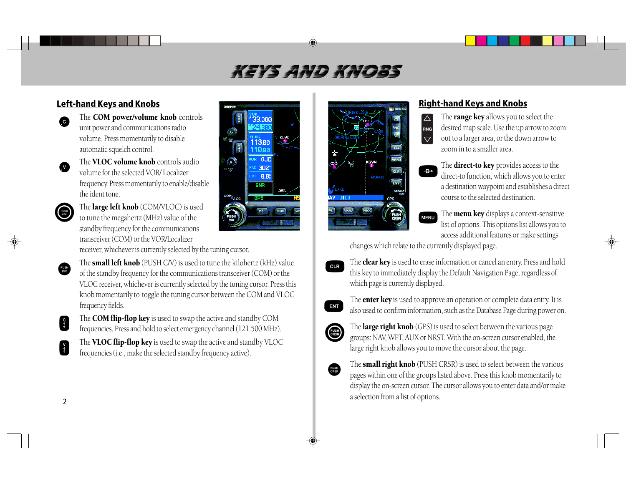# .HEYS AND KNORS

### **Left-hand Keys and Knobs**

- G
- The **COM power/volume knob** controls unit power and communications radio volume. Press momentarily to disable automatic squelch control.
- The **VLOC volume knob** controls audio volume for the selected VOR/ Localizerfrequency. Press momentarily to enable/disable the ident tone.



 $\frac{PUSH}{C/V}$ 

 $\bullet$ 

The **large left knob** (COM/VLOC) is used to tune the megahertz (MHz) value of the standby frequency for the communications transceiver (COM) or the VOR/Localizer

receiver, whichever is currently selected by the tuning cursor.

The **small left knob** (PUSH C/V) is used to tune the kilohertz (kHz) value of the standby frequency for the communications transceiver (COM) or the VLOC receiver, whichever is currently selected by the tuning cursor. Press this knob momentarily to toggle the tuning cursor between the COM and VLOC frequency fields.

l sav

 $\mathbb{C}$ 

**COM/VLOC** 

医瘤

Ķ

0R

The **COM flip-flop key** is used to swap the active and standby COM frequencies. Press and hold to select emergency channel (121.500 MHz).

The **VLOC flip-flop key** is used to swap the active and standby VLOC frequencies (i.e., make the selected standby frequency active).





#### **Right-hand Keys and Knobs**



The **range key** allows you to select the desired map scale. Use the up arrow to zoom out to a larger area, or the down arrow to zoom in to a smaller area.







The **menu key** displays a context-sensitive list of options. This options list allows you to access additional features or make settings

changes which relate to the currently displayed page.



The **clear key** is used to erase information or cancel an entry. Press and hold this key to immediately display the Default Navigation Page, regardless of which page is currently displayed.



The **enter key** is used to approve an operation or complete data entry. It is also used to confirm information, such as the Database Page during power on.



The **large right knob** (GPS) is used to select between the various page groups: NAV, WPT, AUX or NRST. With the on-screen cursor enabled, the large right knob allows you to move the cursor about the page.



The **small right knob** (PUSH CRSR) is used to select between the various pages within one of the groups listed above. Press this knob momentarily to display the on-screen cursor. The cursor allows you to enter data and/or make a selection from a list of options.

V<br>V

S<sub>t</sub>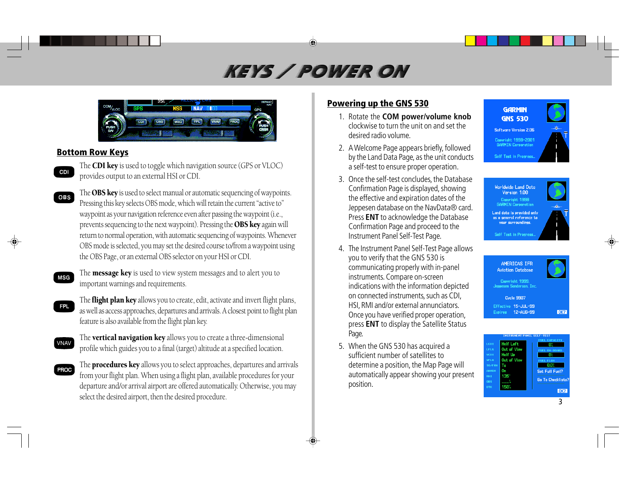# KEYS / POWER ON



#### **Bottom Row Keys**

The **CDI key** is used to toggle which navigation source (GPS or VLOC) provides output to an external HSI or CDI.

- The OBS key is used to select manual or automatic sequencing of waypoints. Pressing this key selects OBS mode, which will retain the current "active to" waypoint as your navigation reference even after passing the waypoint (i.e., prevents sequencing to the next waypoint). Pressing the OBS key again will return to normal operation, with automatic sequencing of waypoints. Whenever OBS mode is selected, you may set the desired course to/from a waypoint using the OBS Page, or an external OBS selector on your HSI or CDI. **OBS**
- **MSG**

FPL

The **message key** is used to view system messages and to alert you to important warnings and requirements.

- The **flight plan key** allows you to create, edit, activate and invert flight plans, as well as access approaches, departures and arrivals. A closest point to flight plan feature is also available from the flight plan key.
- VNAV

**PROC** 

The **vertical navigation key** allows you to create a three-dimensional profile which guides you to a final (target) altitude at a specified location.

The **procedures key** allows you to select approaches, departures and arrivals from your flight plan. When using a flight plan, available procedures for your departure and/or arrival airport are offered automatically. Otherwise, you may select the desired airport, then the desired procedure.

#### **Powering up the GNS 530**

- 1. Rotate the **COM power/volume knob** clockwise to turn the unit on and set thedesired radio volume.
- 2. A Welcome Page appears briefly, followed by the Land Data Page, as the unit conducts a self-test to ensure proper operation.
- 3. Once the self-test concludes, the Database Confirmation Page is displayed, showing the effective and expiration dates of the Jeppesen database on the NavData® card. Press **ENT** to acknowledge the Database Confirmation Page and proceed to the Instrument Panel Self-Test Page.
- 4. The Instrument Panel Self-Test Page allows you to verify that the GNS 530 is communicating properly with in-panel instruments. Compare on-screen indications with the information depicted on connected instruments, such as CDI, HSI, RMI and/or external annunciators. Once you have verified proper operation, press **ENT** to display the Satellite Status Page.
- 5. When the GNS 530 has acquired a sufficient number of satellites todetermine a position, the Map Page will automatically appear showing your present position.







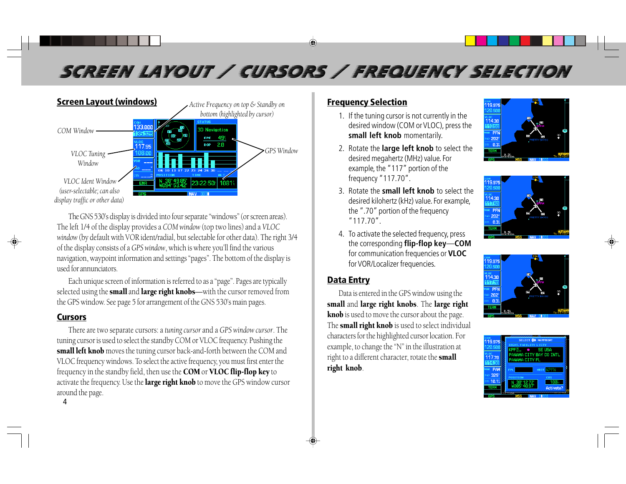# SCREEN LAYOUT / CURSORS / FREQUENCY SELECTION



The GNS 530's display is divided into four separate "windows" (or screen areas). The left 1/4 of the display provides a *COM window* (top two lines) and a *VLOC window* (by default with VOR ident/radial, but selectable for other data). The right 3/4 of the display consists of a *GPS window*, which is where you'll find the various navigation, waypoint information and settings "pages". The bottom of the display is used for annunciators.

Each unique screen of information is referred to as a "page". Pages are typically selected using the small and large right knobs-with the cursor removed from the GPS window. See page 5 for arrangement of the GNS 530's main pages.

#### **Cursors**

There are two separate cursors: a *tuning cursor* and a *GPS window cursor*. The tuning cursor is used to select the standby COM or VLOC frequency. Pushing the small left knob moves the tuning cursor back-and-forth between the COM and VLOC frequency windows. To select the active frequency, you must first enter the frequency in the standby field, then use the COM or VLOC flip-flop key to activate the frequency. Use the **large right knob** to move the GPS window cursor around the page.

#### **Frequency Selection**

- 1. If the tuning cursor is not currently in the desired window (COM or VLOC), press the **small left knob** momentarily.
- 2. Rotate the **large left knob** to select the desired megahertz (MHz) value. For example, the "117" portion of the frequency "117.70".
- 3. Rotate the **small left knob** to select thedesired kilohertz (kHz) value. For example, the ".70" portion of the frequency "117.70".
- 4. To activate the selected frequency, press the corresponding **flip-flop key** —**COM**for communication frequencies or **VLOC** for VOR/Localizer frequencies.

#### **Data Entry**

Data is entered in the GPS window using the small and large right knobs. The large right knob is used to move the cursor about the page. The **small right knob** is used to select individual characters for the highlighted cursor location. For example, to change the "N" in the illustration at right to a different character, rotate the small right knob.









4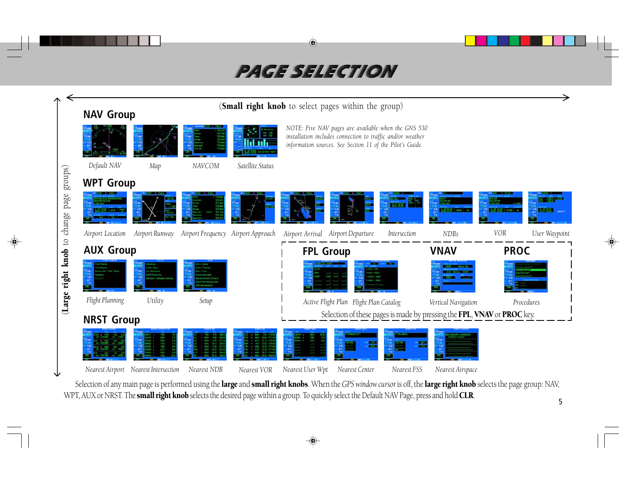# PACE SELECTION



Selection of any main page is performed using the large and small right knobs. When the *GPS window cursor* is off, the large right knob selects the page group: NAV, WPT, AUX or NRST. The small right knob selects the desired page within a group. To quickly select the Default NAV Page, press and hold CLR.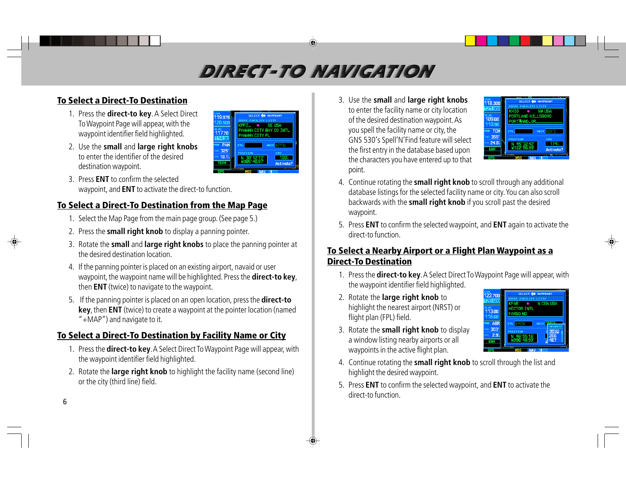# DIRECT-TO NAVICATION

# **To Select a Direct-To Destination**

- 1. Press the **direct-to key**. A Select Direct To Waypoint Page will appear, with the waypoint identifier field highlighted.
- 2. Use the **small** and **large right knobs** to enter the identifier of the desireddestination waypoint.
- 3. Press **ENT** to confirm the selectedwaypoint, and **ENT** to activate the direct-to function.

# **To Select a Direct-To Destination from the Map Page**

- 1. Select the Map Page from the main page group. (See page 5.)
- 2. Press the **small right knob** to display a panning pointer.
- 3. Rotate the **small** and **large right knobs** to place the panning pointer at the desired destination location.

19.975

<sub>и дос</sub><br>117.70<br>114.80

PAM

325 10.1 **14 CITY BAY CO INTL** 

**NAMA PTTV EI** 

- 4. If the panning pointer is placed on an existing airport, navaid or user waypoint, the waypoint name will be highlighted. Press the **direct-to key**, then **ENT** (twice) to navigate to the waypoint.
- 5. If the panning pointer is placed on an open location, press the **direct-to key**, then **ENT** (twice) to create a waypoint at the pointer location (named "+MAP") and navigate to it.

# **To Select a Direct-To Destination by Facility Name or City**

- 1. Press the **direct-to key**. A Select Direct To Waypoint Page will appear, with the waypoint identifier field highlighted.
- 2. Rotate the **large right knob** to highlight the facility name (second line) or the city (third line) field.

3. Use the **small** and **large right knobs** to enter the facility name or city location of the desired destination waypoint. As you spell the facility name or city, the GNS 530's Spell'N'Find feature will select the first entry in the database based upon the characters you have entered up to that point.



- 4. Continue rotating the **small right knob** to scroll through any additional database listings for the selected facility name or city. You can also scroll backwards with the **small right knob** if you scroll past the desired waypoint.
- 5. Press **ENT** to confirm the selected waypoint, and **ENT** again to activate the direct-to function.

### **To Select a Nearby Airport or a Flight Plan Waypoint as a Direct-To Destination**

- 1. Press the **direct-to key**. A Select Direct To Waypoint Page will appear, with the waypoint identifier field highlighted.
- 2. Rotate the **large right knob** to highlight the nearest airport (NRST) or flight plan (FPL) field.



- 3. Rotate the **small right knob** to display a window listing nearby airports or all waypoints in the active flight plan.
- 4. Continue rotating the **small right knob** to scroll through the list and highlight the desired waypoint.
- 5. Press **ENT** to confirm the selected waypoint, and **ENT** to activate the direct-to function.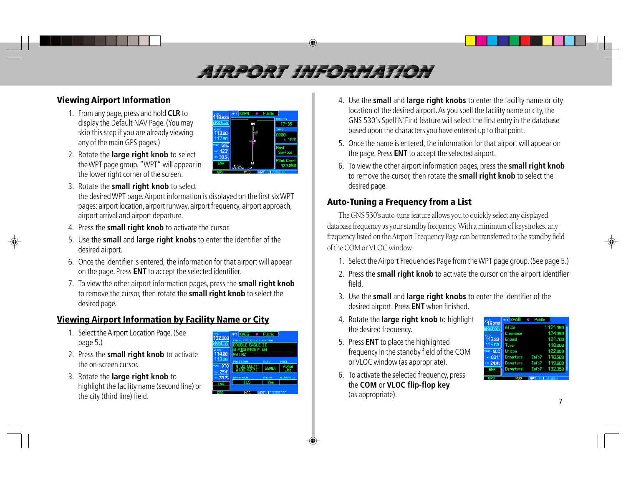# AIRPORT INFORMATION

#### **ViewingAirport Information**

- 1. From any page, press and hold **CLR** to display the Default NAV Page. (You may skip this step if you are already viewing any of the main GPS pages.)
- 2. Rotate the **large right knob** to select the WPT page group. "WPT" will appear in the lower right corner of the screen.

| COH<br>118.625                          | <b>KAWM</b><br>o Public<br>APT           |                                  |
|-----------------------------------------|------------------------------------------|----------------------------------|
| 123.051                                 | 17                                       | <b>RUNHAY</b><br>$17 - 35$       |
| <b>VLOC</b><br>113.00<br>117.50         | AWM<br>KAUM                              | <b>INFO</b><br>6000%<br>$x$ 100% |
| <b>GQE</b><br>VOR<br>$123^\circ$<br>RAD |                                          | <b>Hard</b><br><b>Surface</b>    |
| DIS 30.6%<br>ENR                        | 35<br>1.5%<br><b>ILWR</b><br><b>2000</b> | <b>Pilot Cntrl</b><br>123,050    |
| ape                                     | <b>WP</b><br>MSG                         |                                  |

- 3. Rotate the **small right knob** to select the desired WPT page. Airport information is displayed on the first six WPT pages: airport location, airport runway, airport frequency, airport approach, airport arrival and airport departure.
- 4. Press the **small right knob** to activate the cursor.
- 5. Use the **small** and **large right knobs** to enter the identifier of the desired airport.
- 6. Once the identifier is entered, the information for that airport will appear on the page. Press **ENT** to accept the selected identifier.
- 7. To view the other airport information pages, press the **small right knob** to remove the cursor, then rotate the **small right knob** to select the desired page.

# **Viewing Airport Information by Facility Name or City**

- 1. Select the Airport Location Page. (See page 5.)
- 2. Press the **small right knob** to activate the on-screen cursor.
- 3. Rotate the **large right knob** to highlight the facility name (second line) or the city (third line) field.



- 4. Use the **small** and **large right knobs** to enter the facility name or city location of the desired airport. As you spell the facility name or city, the GNS 530's Spell'N'Find feature will select the first entry in the database based upon the characters you have entered up to that point.
- 5. Once the name is entered, the information for that airport will appear on the page. Press **ENT** to accept the selected airport.
- 6. To view the other airport information pages, press the **small right knob** to remove the cursor, then rotate the **small right knob** to select the desired page.

### **Auto-Tuning a Frequency from a List**

The GNS 530's auto-tune feature allows you to quickly select any displayed database frequency as your standby frequency. With a minimum of keystrokes, any frequency listed on the Airport Frequency Page can be transferred to the standby field of the COM or VLOC window.

- 1. Select the Airport Frequencies Page from the WPT page group. (See page 5.)
- 2. Press the **small right knob** to activate the cursor on the airport identifier field.
- 3. Use the **small** and **large right knobs** to enter the identifier of the desired airport. Press **ENT** when finished.
- 4. Rotate the **large right knob** to highlight the desired frequency.
- 5. Press **ENT** to place the highlighted frequency in the standby field of the COM or VLOC window (as appropriate).
- 6. To activate the selected frequency, press the **COM** or **VLOC flip-flop key** (as appropriate).

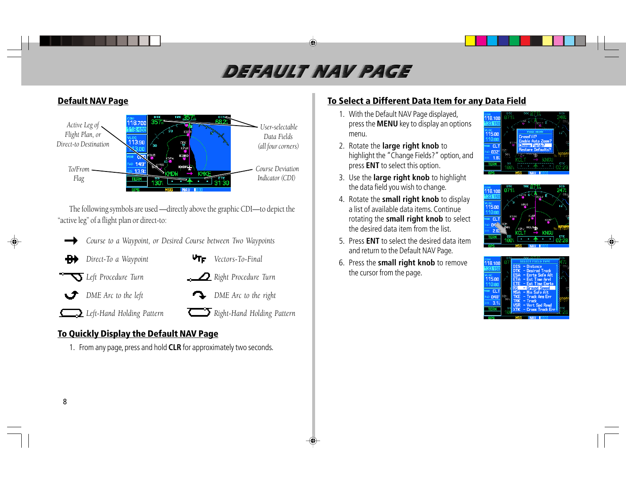# DEFAULT NAV PACE



The following symbols are used —directly above the graphic CDI—to depict the "active leg" of a flight plan or direct-to:

- *Course to a Waypoint, or Desired Course between Two Waypoints*
- *Direct-To a Waypoint VTF Vectors-To-Final*
- 
- 
- *Left Procedure Turn Right Procedure Turn*
- *DME Arc to the left* **DME** Arc to the right ◡≁
- *Left-Hand Holding Pattern Right-Hand Holding Pattern*
- 

# **To Quickly Display the Default NAV Page**

1. From any page, press and hold **CLR** for approximately two seconds.

## **To Select a Different Data Item for any Data Field**

- 1. With the Default NAV Page displayed, press the **MENU** key to display an options menu.
- 2. Rotate the **large right knob** to highlight the "Change Fields?" option, and press **ENT** to select this option.
- 3. Use the **large right knob** to highlight the data field you wish to change.
- 4. Rotate the **small right knob** to display a list of available data items. Continuerotating the **small right knob** to select the desired data item from the list.
- 5. Press **ENT** to select the desired data itemand return to the Default NAV Page.
- 6. Press the **small right knob** to remove the cursor from the page.





| 118.188     |            | TVPF              |  |
|-------------|------------|-------------------|--|
| 33.15       | nts        | $-$ Distance      |  |
|             | <b>DTK</b> | - Desired Track   |  |
| $n$ oc      | <b>FSA</b> | - Enrte Sofe Alt  |  |
| 115.00      | ETA        | - Est Time Arvl   |  |
| 110.80      | ETE        | - Est Time Enrte  |  |
|             | GS I       | - Ground Speed    |  |
| CL T        | <b>MSA</b> | - Min Safe Alt    |  |
| <b>048°</b> | <b>TKE</b> | - Track Ang Err   |  |
| 3.1%        | <b>TRK</b> | $-$ Track         |  |
|             | <b>VSR</b> | - Vert Spd Read   |  |
| TERR        | <b>XTK</b> | - Cross Track Err |  |
|             |            |                   |  |
|             |            |                   |  |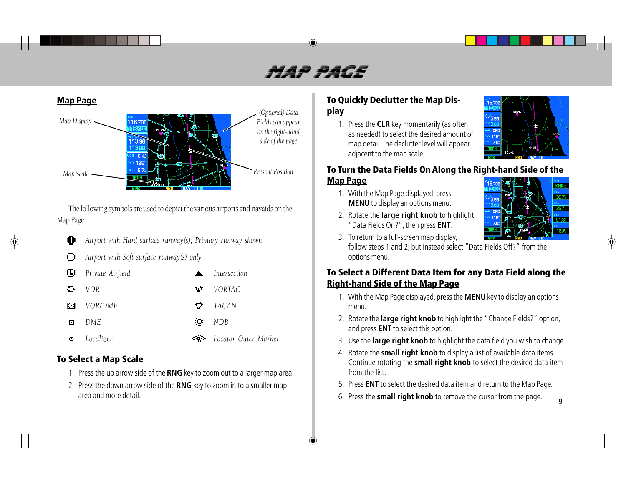# MAP PACE



The following symbols are used to depict the various airports and navaids on the Map Page:

- *Airport with Hard surface runway(s); Primary runway shown* O
- *Airport with Soft surface runway(s) only* ∩

|    | $E$ Private Airfield | $\mathbf{A}$ | Intersection         |
|----|----------------------|--------------|----------------------|
| O. | VOR.                 | ÷.           | VORTAC               |
| М  | VOR/DME              | ़            | TACAN                |
| o  | DME.                 |              | $\blacksquare$ NDB   |
| Θ  | Localizer            | <b>CD</b> 2  | Locator Outer Marker |

#### **To Select a Map Scale**

- 1. Press the up arrow side of the **RNG** key to zoom out to a larger map area.
- 2. Press the down arrow side of the **RNG** key to zoom in to a smaller map area and more detail.

### **To Quickly Declutter the Map Display**

1. Press the **CLR** key momentarily (as often as needed) to select the desired amount of map detail. The declutter level will appear adjacent to the map scale.



#### **To Turn the Data Fields On Along the Right-hand Side of the Map Page KMKE**

1. With the Map Page displayed, press **MENU** to display an options menu.



- 2. Rotate the **large right knob** to highlight "Data Fields On?", then press **ENT**. 3. To return to a full-screen map display,
- follow steps 1 and 2, but instead select "Data Fields Off?" from the options menu.

#### **To Select a Different Data Item for any Data Field along the Right-hand Side of the Map Page**

- 1. With the Map Page displayed, press the **MENU** key to display an options menu.
- 2. Rotate the **large right knob** to highlight the "Change Fields?" option, and press **ENT** to select this option.
- 3. Use the **large right knob** to highlight the data field you wish to change.
- 4. Rotate the **small right knob** to display a list of available data items. Continue rotating the **small right knob** to select the desired data item from the list.
- 5. Press **ENT** to select the desired data item and return to the Map Page.
- 6. Press the **small right knob** to remove the cursor from the page.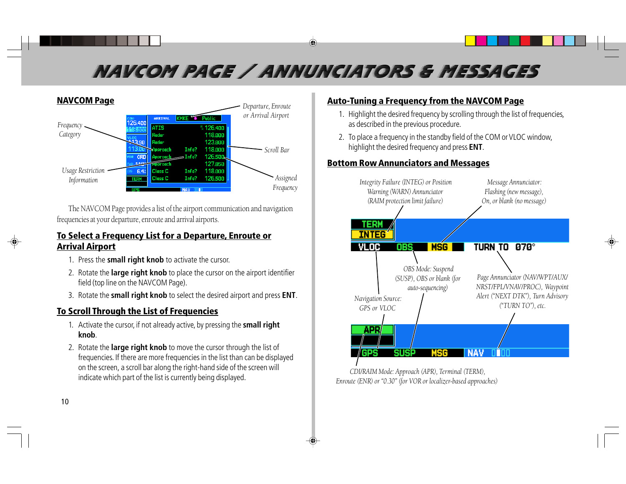# NAVCOM PAGE / ANNUNCIATORS & MESSAGES



The NAVCOM Page provides a list of the airport communication and navigation frequencies at your departure, enroute and arrival airports.

#### **To Select a Frequency List for a Departure, Enroute or Arrival Airport**

- 1. Press the **small right knob** to activate the cursor.
- 2. Rotate the **large right knob** to place the cursor on the airport identifier field (top line on the NAVCOM Page).
- 3. Rotate the **small right knob** to select the desired airport and press **ENT**.

### **To Scroll Through the List of Frequencies**

- 1. Activate the cursor, if not already active, by pressing the **small right knob**.
- 2. Rotate the **large right knob** to move the cursor through the list of frequencies. If there are more frequencies in the list than can be displayed on the screen, a scroll bar along the right-hand side of the screen will indicate which part of the list is currently being displayed.

### **Auto-Tuning a Frequency from the NAVCOM Page**

- 1. Highlight the desired frequency by scrolling through the list of frequencies, as described in the previous procedure.
- 2. To place a frequency in the standby field of the COM or VLOC window, highlight the desired frequency and press **ENT**.

#### **Bottom Row Annunciators and Messages**



 *CDI/RAIM Mode: Approach (APR), Terminal (TERM), Enroute (ENR) or "0.30" (for VOR or localizer-based approaches)*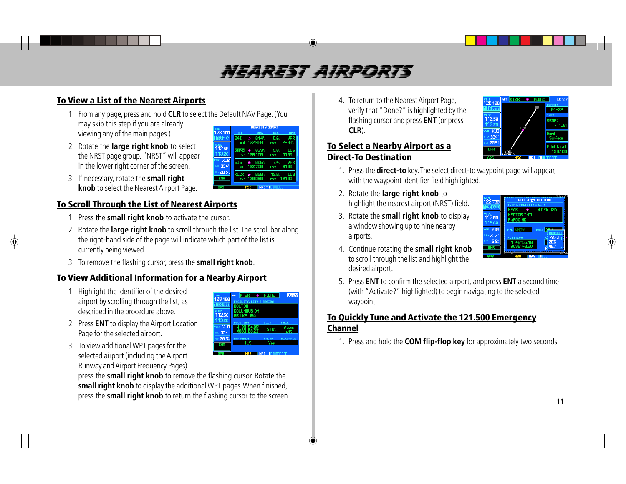# NEAREST AIRPORTS

### **To View a List of the Nearest Airports**

1. From any page, press and hold **CLR** to select the Default NAV Page. (You may skip this step if you are already viewing any of the main pages.)

լ.<sub>oc</sub><br>112.5E

334 20.5

**ENR** 

OLLIMBUS OH

11250

334 285 7.4%

12.8

- 2. Rotate the **large right knob** to select the NRST page group. "NRST" will appear in the lower right corner of the screen.
- 3. If necessary, rotate the **small right knob** to select the Nearest Airport Page.

### **To Scroll Through the List of Nearest Airports**

- 1. Press the **small right knob** to activate the cursor.
- 2. Rotate the **large right knob** to scroll through the list. The scroll bar along the right-hand side of the page will indicate which part of the list is currently being viewed.
- 3. To remove the flashing cursor, press the **small right knob**.

### **ToView Additional Information for a Nearby Airport**

- 1. Highlight the identifier of the desired airport by scrolling through the list, as described in the procedure above.
- 2. Press **ENT** to display the Airport Location Page for the selected airport.
- 3. To view additional WPT pages for the selected airport (including the Airport Runway and Airport Frequency Pages)

press the **small right knob** to remove the flashing cursor. Rotate the **small right knob** to display the additional WPT pages. When finished, press the **small right knob** to return the flashing cursor to the screen. 4. To return to the Nearest Airport Page, verify that "Done?" is highlighted by the flashing cursor and press **ENT** (or press **CLR**).

#### **To Select a Nearby Airport as a Direct-To Destination**

- 1. Press the **direct-to** key. The select direct-to waypoint page will appear, with the waypoint identifier field highlighted.
- 2. Rotate the **large right knob** to highlight the nearest airport (NRST) field.
- 3. Rotate the **small right knob** to display a window showing up to nine nearby airports.



- 4. Continue rotating the **small right knob** to scroll through the list and highlight the desired airport.
- 5. Press **ENT** to confirm the selected airport, and press **ENT** a second time (with "Activate?" highlighted) to begin navigating to the selected waypoint.

#### **To Quickly Tune and Activate the 121.500 Emergency Channel**

1. Press and hold the **COM flip-flop key** for approximately two seconds.

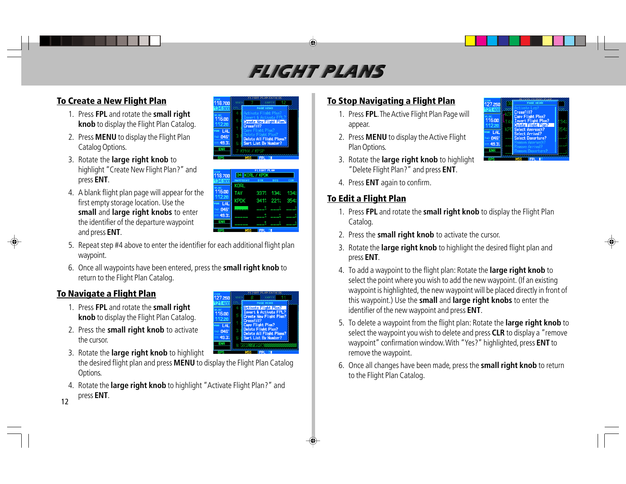# FLICHT PLANS

# **To Create a New Flight Plan**

- 1. Press **FPL** and rotate the **small right knob** to display the Flight Plan Catalog.
- 2. Press **MENU** to display the Flight Plan Catalog Options.
- 3. Rotate the **large right knob** to highlight "Create New Flight Plan?" and press **ENT**.
- 4. A blank flight plan page will appear for the first empty storage location. Use the **small** and **large right knobs** to enter the identifier of the departure waypoint and press **ENT**.
- 5. Repeat step #4 above to enter the identifier for each additional flight plan waypoint.
- 6. Once all waypoints have been entered, press the **small right knob** to return to the Flight Plan Catalog.

127.250 ւօշ<br>116.00  $12.20$ **R** LAL 846

49.3

### **To Navigate a Flight Plan**

- 1. Press **FPL** and rotate the **small right knob** to display the Flight Plan Catalog.
- 2. Press the **small right knob** to activate the cursor.
- 3. Rotate the **large right knob** to highlight the desired flight plan and press **MENU** to display the Flight Plan Catalog Options.
- 4. Rotate the **large right knob** to highlight "Activate Flight Plan?" and press **ENT**.





Delete All Flight Plans?

Sort List By Number'

### **To Stop Navigating a Flight Plan**

- 1. Press **FPL**. The Active Flight Plan Page will appear.
- 2. Press **MENU** to display the Active Flight Plan Options.
- 3. Rotate the **large right knob** to highlight "Delete Flight Plan?" and press **ENT**.
- 4. Press **ENT** again to confirm.

### **To Edit a Flight Plan**

- 1. Press **FPL** and rotate the **small right knob** to display the Flight Plan Catalog.
- 2. Press the **small right knob** to activate the cursor.
- 3. Rotate the **large right knob** to highlight the desired flight plan and press **ENT**.
- 4. To add a waypoint to the flight plan: Rotate the **large right knob** to select the point where you wish to add the new waypoint. (If an existing waypoint is highlighted, the new waypoint will be placed directly in front of this waypoint.) Use the **small** and **large right knobs** to enter the identifier of the new waypoint and press **ENT**.
- 5. To delete a waypoint from the flight plan: Rotate the **large right knob** to select the waypoint you wish to delete and press **CLR** to display a "remove waypoint" confirmation window. With "Yes?" highlighted, press **ENT** to remove the waypoint.
- 6. Once all changes have been made, press the **small right knob** to return to the Flight Plan Catalog.



12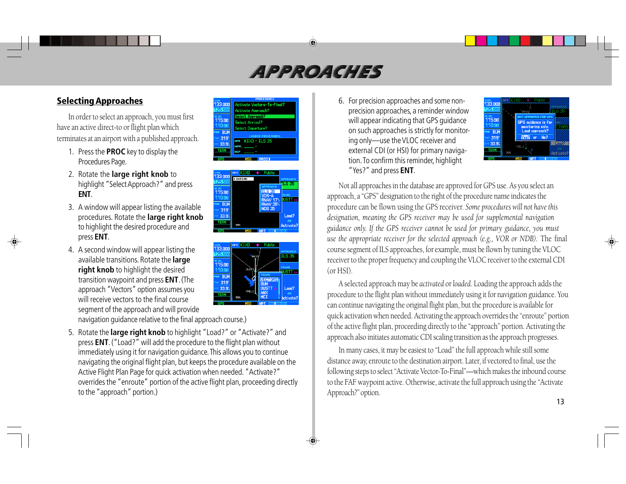# APPROACHES

### **SelectingApproaches**

In order to select an approach, you must first have an active direct-to or flight plan which terminates at an airport with a published approach.

- 1. Press the **PROC** key to display the Procedures Page.
- 2. Rotate the **large right knob** to highlight "Select Approach?" and press **ENT**.
- 3. A window will appear listing the available procedures. Rotate the **large right knob** to highlight the desired procedure and press **ENT**.
- 4. A second window will appear listing the available transitions. Rotate the **large right knob** to highlight the desired transition waypoint and press **ENT**. (The approach "Vectors" option assumes you will receive vectors to the final coursesegment of the approach and will provide navigation guidance relative to the final approach course.)
- 5. Rotate the **large right knob** to highlight "Load?" or "Activate?" and press **ENT**. ("Load?" will add the procedure to the flight plan without immediately using it for navigation guidance. This allows you to continue navigating the original flight plan, but keeps the procedure available on the Active Flight Plan Page for quick activation when needed. "Activate?" overrides the "enroute" portion of the active flight plan, proceeding directly to the "approach" portion.)







6. For precision approaches and some nonprecision approaches, a reminder window will appear indicating that GPS guidance on such approaches is strictly for monitoring only—use the VLOC receiver and external CDI (or HSI) for primary navigation. To confirm this reminder, highlight "Yes?" and press **ENT**.



Not all approaches in the database are approved for GPS use. As you select an approach, a "GPS" designation to the right of the procedure name indicates the procedure can be flown using the GPS receiver. *Some procedures will not have this designation, meaning the GPS receiver may be used for supplemental navigation guidance only. If the GPS receiver cannot be used for primary guidance, you must use the appropriate receiver for the selected approach (e.g., VOR or NDB).* The final course segment of ILS approaches, for example, must be flown by tuning the VLOC receiver to the proper frequency and coupling the VLOC receiver to the external CDI (or HSI).

A selected approach may be *activated* or *loaded*. Loading the approach adds the procedure to the flight plan without immediately using it for navigation guidance. You can continue navigating the original flight plan, but the procedure is available for quick activation when needed. Activating the approach overrides the "enroute" portion of the active flight plan, proceeding directly to the "approach" portion. Activating the approach also initiates automatic CDI scaling transition as the approach progresses.

In many cases, it may be easiest to "Load" the full approach while still some distance away, enroute to the destination airport. Later, if vectored to final, use the following steps to select "Activate Vector-To-Final"—which makes the inbound course to the FAF waypoint active. Otherwise, activate the full approach using the "Activate Approach?" option.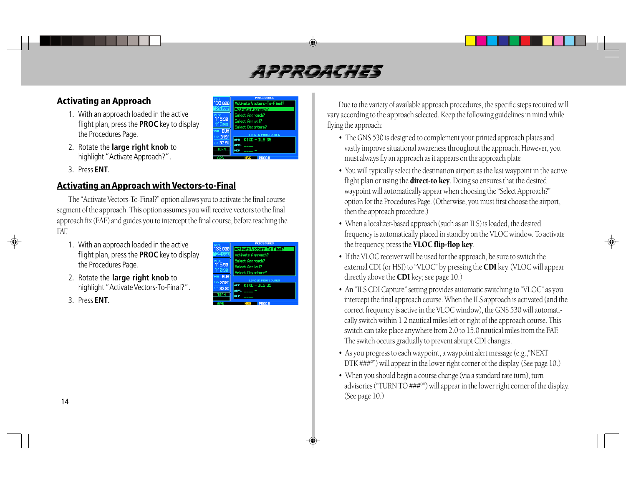# ABBRE FEHR

### **Activating an Approach**

- 1. With an approach loaded in the active flight plan, press the **PROC** key to display the Procedures Page.
- 2. Rotate the **large right knob** to highlight "Activate Approach?".
- 3. Press **ENT**.

#### **Activating an Approach with Vectors-to-Final**

The "Activate Vectors-To-Final?" option allows you to activate the final course segment of the approach. This option assumes you will receive vectors to the final approach fix (FAF) and guides you to intercept the final course, before reaching the FAF.

- 1. With an approach loaded in the active flight plan, press the **PROC** key to display the Procedures Page.
- 2. Rotate the **large right knob** to highlight "Activate Vectors-To-Final?".
- 3. Press **ENT**.



ekinaka Annoaaeh5 Select Approach?

Select Arrival?

Select Departure?

APR KIXD-ILS 35

 $33$  anal

<sup>LOC</sup><br>| 15.90

10.90

**BUM** 319

33.9

Due to the variety of available approach procedures, the specific steps required will vary according to the approach selected. Keep the following guidelines in mind while flying the approach:

- The GNS 530 is designed to complement your printed approach plates and vastly improve situational awareness throughout the approach. However, you must always fly an approach as it appears on the approach plate
- You will typically select the destination airport as the last waypoint in the active flight plan or using the **direct-to key**. Doing so ensures that the desired waypoint will automatically appear when choosing the "Select Approach?" option for the Procedures Page. (Otherwise, you must first choose the airport, then the approach procedure.)
- When a localizer-based approach (such as an ILS) is loaded, the desired frequency is automatically placed in standby on the VLOC window. To activate the frequency, press the VLOC flip-flop key.
- If the VLOC receiver will be used for the approach, be sure to switch the external CDI (or HSI) to "VLOC" by pressing the CDI key. (VLOC will appear directly above the **CDI** key; see page 10.)
- An "ILS CDI Capture" setting provides automatic switching to "VLOC" as you intercept the final approach course. When the ILS approach is activated (and the correct frequency is active in the VLOC window), the GNS 530 will automatically switch within 1.2 nautical miles left or right of the approach course. This switch can take place anywhere from 2.0 to 15.0 nautical miles from the FAF. The switch occurs gradually to prevent abrupt CDI changes.
- As you progress to each waypoint, a waypoint alert message (e.g.,"NEXT DTK ###°") will appear in the lower right corner of the display. (See page 10.)
- When you should begin a course change (via a standard rate turn), turn advisories ("TURN TO ###°") will appear in the lower right corner of the display. (See page 10.)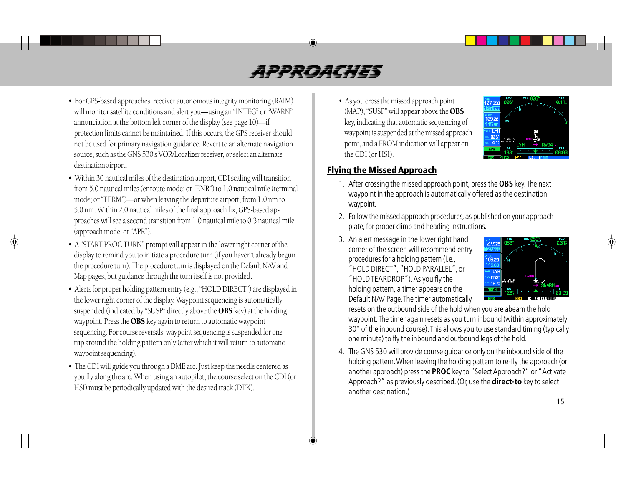# APPROVICHE

- For GPS-based approaches, receiver autonomous integrity monitoring (RAIM) will monitor satellite conditions and alert you—using an "INTEG" or "WARN" annunciation at the bottom left corner of the display (see page 10)—if protection limits cannot be maintained. If this occurs, the GPS receiver should not be used for primary navigation guidance. Revert to an alternate navigation source, such as the GNS 530's VOR/Localizer receiver, or select an alternate destination airport.
- Within 30 nautical miles of the destination airport, CDI scaling will transition from 5.0 nautical miles (enroute mode; or "ENR") to 1.0 nautical mile (terminal mode; or "TERM")—or when leaving the departure airport, from 1.0 nm to 5.0 nm. Within 2.0 nautical miles of the final approach fix, GPS-based approaches will see a second transition from 1.0 nautical mile to 0.3 nautical mile (approach mode; or "APR").
- A "START PROC TURN" prompt will appear in the lower right corner of the display to remind you to initiate a procedure turn (if you haven't already begun the procedure turn). The procedure turn is displayed on the Default NAV and Map pages, but guidance through the turn itself is not provided.
- Alerts for proper holding pattern entry (e.g., "HOLD DIRECT") are displayed in the lower right corner of the display. Waypoint sequencing is automatically suspended (indicated by "SUSP" directly above the OBS key) at the holding waypoint. Press the OBS key again to return to automatic waypoint sequencing. For course reversals, waypoint sequencing is suspended for one trip around the holding pattern only (after which it will return to automatic waypoint sequencing).
- The CDI will guide you through a DME arc. Just keep the needle centered as you fly along the arc. When using an autopilot, the course select on the CDI (or HSI) must be periodically updated with the desired track (DTK).

• As you cross the missed approach point (MAP), "SUSP" will appear above the OBS key, indicating that automatic sequencing of waypoint is suspended at the missed approach point, and a FROM indication will appear on the CDI (or HSI).



#### **Flying the Missed Approach**

- 1. After crossing the missed approach point, press the **OBS** key. The next waypoint in the approach is automatically offered as the destination waypoint.
- 2. Follow the missed approach procedures, as published on your approach plate, for proper climb and heading instructions.
- 3. An alert message in the lower right hand corner of the screen will recommend entry procedures for a holding pattern (i.e., "HOLD DIRECT", "HOLD PARALLEL", or "HOLD TEARDROP"). As you fly the holding pattern, a timer appears on the Default NAV Page. The timer automatically



resets on the outbound side of the hold when you are abeam the hold waypoint. The timer again resets as you turn inbound (within approximately 30° of the inbound course). This allows you to use standard timing (typically one minute) to fly the inbound and outbound legs of the hold.

4. The GNS 530 will provide course guidance only on the inbound side of the holding pattern. When leaving the holding pattern to re-fly the approach (or another approach) press the **PROC** key to "Select Approach?" or "Activate Approach?" as previously described. (Or, use the **direct-to** key to select another destination.)